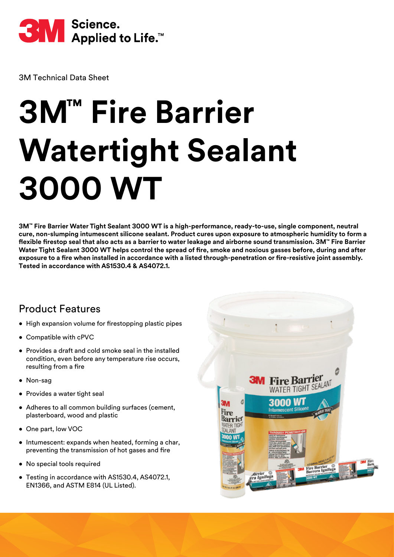

3M Technical Data Sheet

# **3M™ Fire Barrier Watertight Sealant 3000 WT**

**3M™ Fire Barrier Water Tight Sealant 3000 WT is a high-performance, ready-to-use, single component, neutral cure, non-slumping intumescent silicone sealant. Product cures upon exposure to atmospheric humidity to form a flexible firestop seal that also acts as a barrier to water leakage and airborne sound transmission. 3M™ Fire Barrier Water Tight Sealant 3000 WT helps control the spread of fire, smoke and noxious gasses before, during and after exposure to a fire when installed in accordance with a listed through-penetration or fire-resistive joint assembly. Tested in accordance with AS1530.4 & AS4072.1.**

#### Product Features

- High expansion volume for firestopping plastic pipes
- Compatible with cPVC
- Provides a draft and cold smoke seal in the installed condition, even before any temperature rise occurs, resulting from a fire
- Non-sag
- Provides a water tight seal
- Adheres to all common building surfaces (cement, plasterboard, wood and plastic
- One part, low VOC
- Intumescent: expands when heated, forming a char, preventing the transmission of hot gases and fire
- No special tools required
- Testing in accordance with AS1530.4, AS4072.1, EN1366, and ASTM E814 (UL Listed).

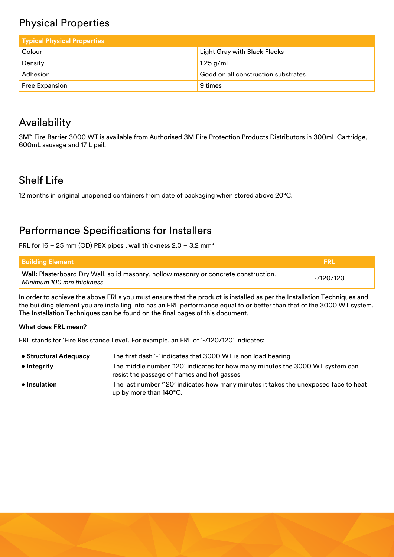## Physical Properties

| <b>Typical Physical Properties</b> |                                     |
|------------------------------------|-------------------------------------|
| Colour                             | <b>Light Gray with Black Flecks</b> |
| Density                            | $1.25$ g/ml                         |
| Adhesion                           | Good on all construction substrates |
| <b>Free Expansion</b>              | 9 times                             |

### Availability

3M™ Fire Barrier 3000 WT is available from Authorised 3M Fire Protection Products Distributors in 300mL Cartridge, 600mL sausage and 17 L pail.

#### Shelf Life

12 months in original unopened containers from date of packaging when stored above 20°C.

#### Performance Specifications for Installers

FRL for 16 – 25 mm (OD) PEX pipes , wall thickness 2.0 – 3.2 mm\*

| l Buildina Element                                                                                                      | - FRI     |
|-------------------------------------------------------------------------------------------------------------------------|-----------|
| <b>Wall:</b> Plasterboard Dry Wall, solid masonry, hollow masonry or concrete construction.<br>Minimum 100 mm thickness | -/120/120 |

In order to achieve the above FRLs you must ensure that the product is installed as per the Installation Techniques and the building element you are installing into has an FRL performance equal to or better than that of the 3000 WT system. The Installation Techniques can be found on the final pages of this document.

#### **What does FRL mean?**

FRL stands for 'Fire Resistance Level'. For example, an FRL of '-/120/120' indicates:

| • Structural Adequacy | The first dash '-' indicates that 3000 WT is non load bearing                                                                |
|-----------------------|------------------------------------------------------------------------------------------------------------------------------|
| $\bullet$ Integrity   | The middle number '120' indicates for how many minutes the 3000 WT system can<br>resist the passage of flames and hot gasses |
| $\bullet$ Insulation  | The last number '120' indicates how many minutes it takes the unexposed face to heat<br>up by more than 140°C.               |